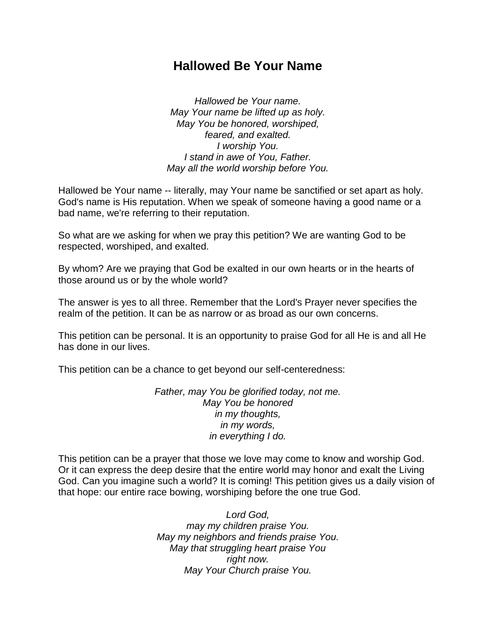## **Hallowed Be Your Name**

*Hallowed be Your name. May Your name be lifted up as holy. May You be honored, worshiped, feared, and exalted. I worship You. I stand in awe of You, Father. May all the world worship before You.*

Hallowed be Your name -- literally, may Your name be sanctified or set apart as holy. God's name is His reputation. When we speak of someone having a good name or a bad name, we're referring to their reputation.

So what are we asking for when we pray this petition? We are wanting God to be respected, worshiped, and exalted.

By whom? Are we praying that God be exalted in our own hearts or in the hearts of those around us or by the whole world?

The answer is yes to all three. Remember that the Lord's Prayer never specifies the realm of the petition. It can be as narrow or as broad as our own concerns.

This petition can be personal. It is an opportunity to praise God for all He is and all He has done in our lives.

This petition can be a chance to get beyond our self-centeredness:

*Father, may You be glorified today, not me. May You be honored in my thoughts, in my words, in everything I do.*

This petition can be a prayer that those we love may come to know and worship God. Or it can express the deep desire that the entire world may honor and exalt the Living God. Can you imagine such a world? It is coming! This petition gives us a daily vision of that hope: our entire race bowing, worshiping before the one true God.

> *Lord God, may my children praise You. May my neighbors and friends praise You. May that struggling heart praise You right now. May Your Church praise You.*